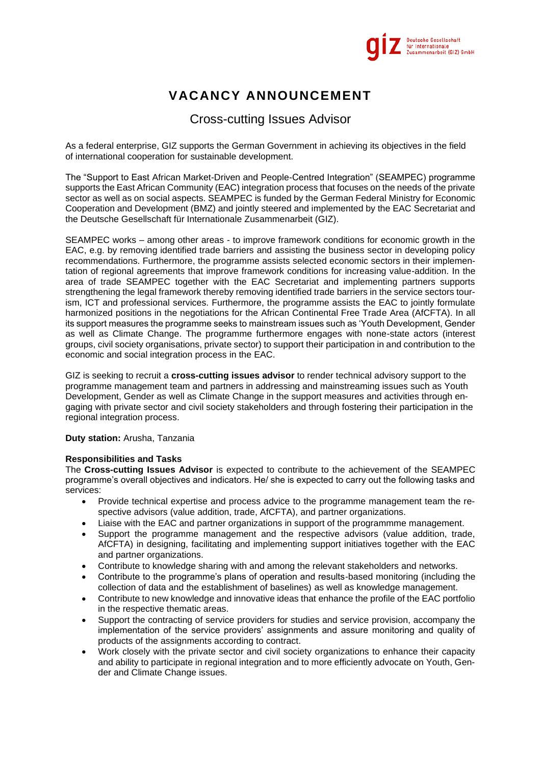

# **VACANCY ANNOUNCEMENT**

# Cross-cutting Issues Advisor

As a federal enterprise, GIZ supports the German Government in achieving its objectives in the field of international cooperation for sustainable development.

The "Support to East African Market-Driven and People-Centred Integration" (SEAMPEC) programme supports the East African Community (EAC) integration process that focuses on the needs of the private sector as well as on social aspects. SEAMPEC is funded by the German Federal Ministry for Economic Cooperation and Development (BMZ) and jointly steered and implemented by the EAC Secretariat and the Deutsche Gesellschaft für Internationale Zusammenarbeit (GIZ).

SEAMPEC works – among other areas - to improve framework conditions for economic growth in the EAC, e.g. by removing identified trade barriers and assisting the business sector in developing policy recommendations. Furthermore, the programme assists selected economic sectors in their implementation of regional agreements that improve framework conditions for increasing value-addition. In the area of trade SEAMPEC together with the EAC Secretariat and implementing partners supports strengthening the legal framework thereby removing identified trade barriers in the service sectors tourism, ICT and professional services. Furthermore, the programme assists the EAC to jointly formulate harmonized positions in the negotiations for the African Continental Free Trade Area (AfCFTA). In all its support measures the programme seeks to mainstream issues such as 'Youth Development, Gender as well as Climate Change. The programme furthermore engages with none-state actors (interest groups, civil society organisations, private sector) to support their participation in and contribution to the economic and social integration process in the EAC.

GIZ is seeking to recruit a **cross-cutting issues advisor** to render technical advisory support to the programme management team and partners in addressing and mainstreaming issues such as Youth Development, Gender as well as Climate Change in the support measures and activities through engaging with private sector and civil society stakeholders and through fostering their participation in the regional integration process.

# **Duty station:** Arusha, Tanzania

#### **Responsibilities and Tasks**

The **Cross-cutting Issues Advisor** is expected to contribute to the achievement of the SEAMPEC programme's overall objectives and indicators. He/ she is expected to carry out the following tasks and services:

- Provide technical expertise and process advice to the programme management team the respective advisors (value addition, trade, AfCFTA), and partner organizations.
- Liaise with the EAC and partner organizations in support of the programmme management.
- Support the programme management and the respective advisors (value addition, trade, AfCFTA) in designing, facilitating and implementing support initiatives together with the EAC and partner organizations.
- Contribute to knowledge sharing with and among the relevant stakeholders and networks.
- Contribute to the programme's plans of operation and results-based monitoring (including the collection of data and the establishment of baselines) as well as knowledge management.
- Contribute to new knowledge and innovative ideas that enhance the profile of the EAC portfolio in the respective thematic areas.
- Support the contracting of service providers for studies and service provision, accompany the implementation of the service providers' assignments and assure monitoring and quality of products of the assignments according to contract.
- Work closely with the private sector and civil society organizations to enhance their capacity and ability to participate in regional integration and to more efficiently advocate on Youth, Gender and Climate Change issues.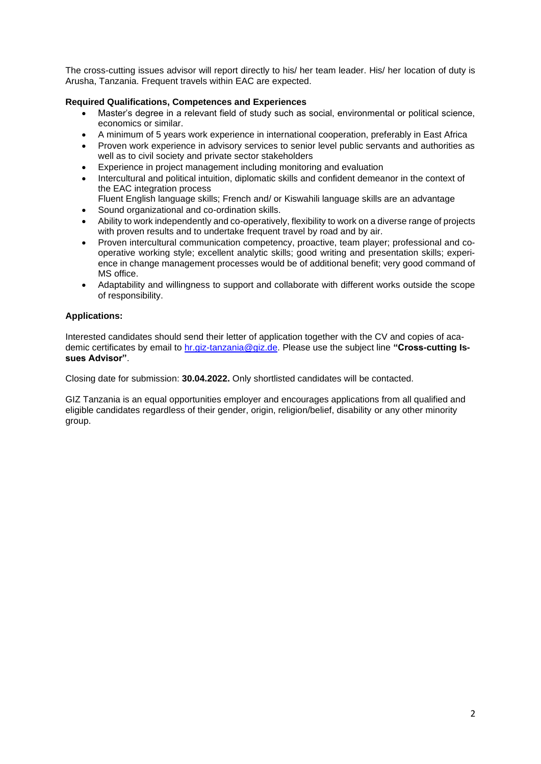The cross-cutting issues advisor will report directly to his/ her team leader. His/ her location of duty is Arusha, Tanzania. Frequent travels within EAC are expected.

# **Required Qualifications, Competences and Experiences**

- Master's degree in a relevant field of study such as social, environmental or political science, economics or similar.
- A minimum of 5 years work experience in international cooperation, preferably in East Africa
- Proven work experience in advisory services to senior level public servants and authorities as well as to civil society and private sector stakeholders
- Experience in project management including monitoring and evaluation
- Intercultural and political intuition, diplomatic skills and confident demeanor in the context of the EAC integration process
- Fluent English language skills; French and/ or Kiswahili language skills are an advantage
- Sound organizational and co-ordination skills.
- Ability to work independently and co-operatively, flexibility to work on a diverse range of projects with proven results and to undertake frequent travel by road and by air.
- Proven intercultural communication competency, proactive, team player; professional and cooperative working style; excellent analytic skills; good writing and presentation skills; experience in change management processes would be of additional benefit; very good command of MS office.
- Adaptability and willingness to support and collaborate with different works outside the scope of responsibility.

# **Applications:**

Interested candidates should send their letter of application together with the CV and copies of academic certificates by email to hr.giz-tanzania@giz.de. Please use the subject line **"Cross-cutting Issues Advisor"**.

Closing date for submission: **30.04.2022.** Only shortlisted candidates will be contacted.

GIZ Tanzania is an equal opportunities employer and encourages applications from all qualified and eligible candidates regardless of their gender, origin, religion/belief, disability or any other minority group.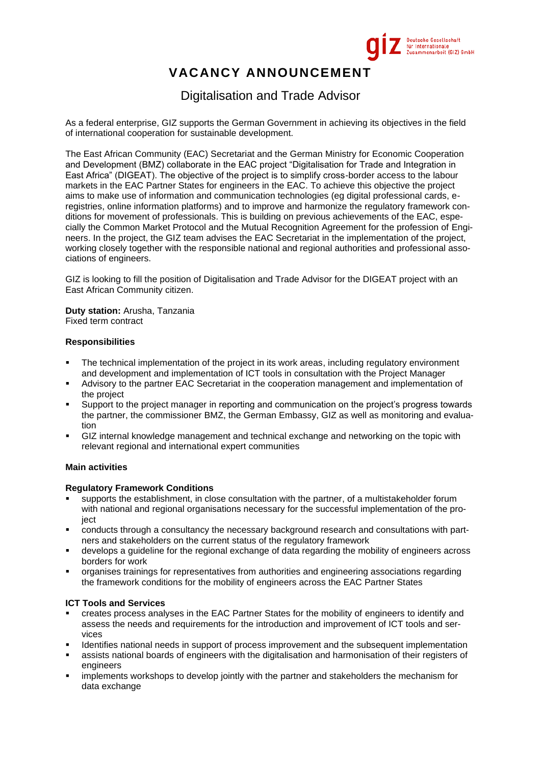

# **VACANCY ANNOUNCEMENT**

# Digitalisation and Trade Advisor

As a federal enterprise, GIZ supports the German Government in achieving its objectives in the field of international cooperation for sustainable development.

The East African Community (EAC) Secretariat and the German Ministry for Economic Cooperation and Development (BMZ) collaborate in the EAC project "Digitalisation for Trade and Integration in East Africa" (DIGEAT). The objective of the project is to simplify cross-border access to the labour markets in the EAC Partner States for engineers in the EAC. To achieve this objective the project aims to make use of information and communication technologies (eg digital professional cards, eregistries, online information platforms) and to improve and harmonize the regulatory framework conditions for movement of professionals. This is building on previous achievements of the EAC, especially the Common Market Protocol and the Mutual Recognition Agreement for the profession of Engineers. In the project, the GIZ team advises the EAC Secretariat in the implementation of the project, working closely together with the responsible national and regional authorities and professional associations of engineers.

GIZ is looking to fill the position of Digitalisation and Trade Advisor for the DIGEAT project with an East African Community citizen.

**Duty station:** Arusha, Tanzania Fixed term contract

# **Responsibilities**

- The technical implementation of the project in its work areas, including regulatory environment and development and implementation of ICT tools in consultation with the Project Manager
- Advisory to the partner EAC Secretariat in the cooperation management and implementation of the project
- Support to the project manager in reporting and communication on the project's progress towards the partner, the commissioner BMZ, the German Embassy, GIZ as well as monitoring and evaluation
- GIZ internal knowledge management and technical exchange and networking on the topic with relevant regional and international expert communities

# **Main activities**

#### **Regulatory Framework Conditions**

- supports the establishment, in close consultation with the partner, of a multistakeholder forum with national and regional organisations necessary for the successful implementation of the proiect
- conducts through a consultancy the necessary background research and consultations with partners and stakeholders on the current status of the regulatory framework
- develops a guideline for the regional exchange of data regarding the mobility of engineers across borders for work
- organises trainings for representatives from authorities and engineering associations regarding the framework conditions for the mobility of engineers across the EAC Partner States

#### **ICT Tools and Services**

- creates process analyses in the EAC Partner States for the mobility of engineers to identify and assess the needs and requirements for the introduction and improvement of ICT tools and services
- Identifies national needs in support of process improvement and the subsequent implementation
- assists national boards of engineers with the digitalisation and harmonisation of their registers of engineers
- implements workshops to develop jointly with the partner and stakeholders the mechanism for data exchange